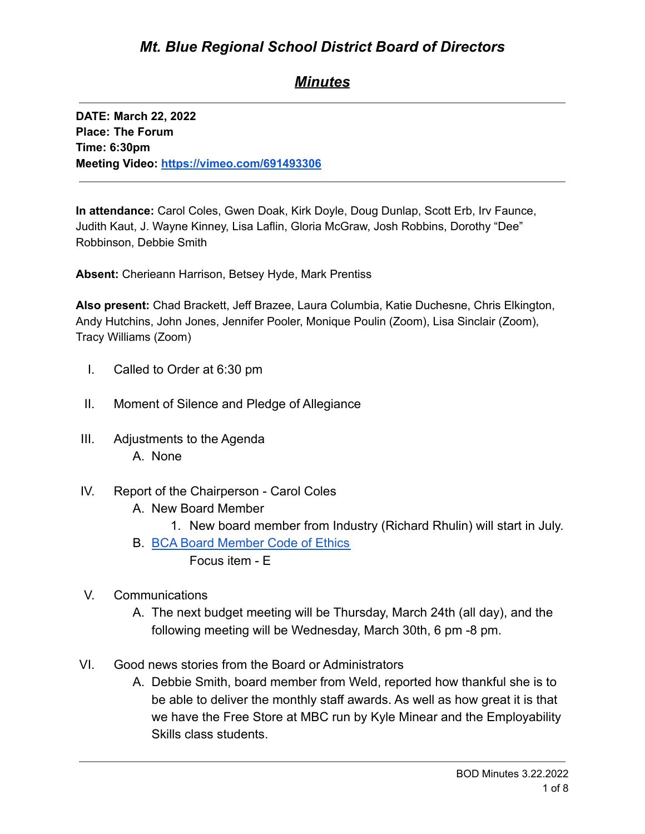## *Minutes*

**DATE: March 22, 2022 Place: The Forum Time: 6:30pm Meeting Video: <https://vimeo.com/691493306>**

**In attendance:** Carol Coles, Gwen Doak, Kirk Doyle, Doug Dunlap, Scott Erb, Irv Faunce, Judith Kaut, J. Wayne Kinney, Lisa Laflin, Gloria McGraw, Josh Robbins, Dorothy "Dee" Robbinson, Debbie Smith

**Absent:** Cherieann Harrison, Betsey Hyde, Mark Prentiss

**Also present:** Chad Brackett, Jeff Brazee, Laura Columbia, Katie Duchesne, Chris Elkington, Andy Hutchins, John Jones, Jennifer Pooler, Monique Poulin (Zoom), Lisa Sinclair (Zoom), Tracy Williams (Zoom)

- I. Called to Order at 6:30 pm
- II. Moment of Silence and Pledge of Allegiance
- III. Adjustments to the Agenda A. None
- IV. Report of the Chairperson Carol Coles
	- A. New Board Member
		- 1. New board member from Industry (Richard Rhulin) will start in July.
	- B. [BCA Board Member Code of Ethics](https://cdn.branchcms.com/yeQ4XpK43n-1155/docs/district/board-of-directors/policy-manual/section-b/BCA-Board-Member-Code-of-Ethics.pdf)
		- Focus item E
- V. Communications
	- A. The next budget meeting will be Thursday, March 24th (all day), and the following meeting will be Wednesday, March 30th, 6 pm -8 pm.
- VI. Good news stories from the Board or Administrators
	- A. Debbie Smith, board member from Weld, reported how thankful she is to be able to deliver the monthly staff awards. As well as how great it is that we have the Free Store at MBC run by Kyle Minear and the Employability Skills class students.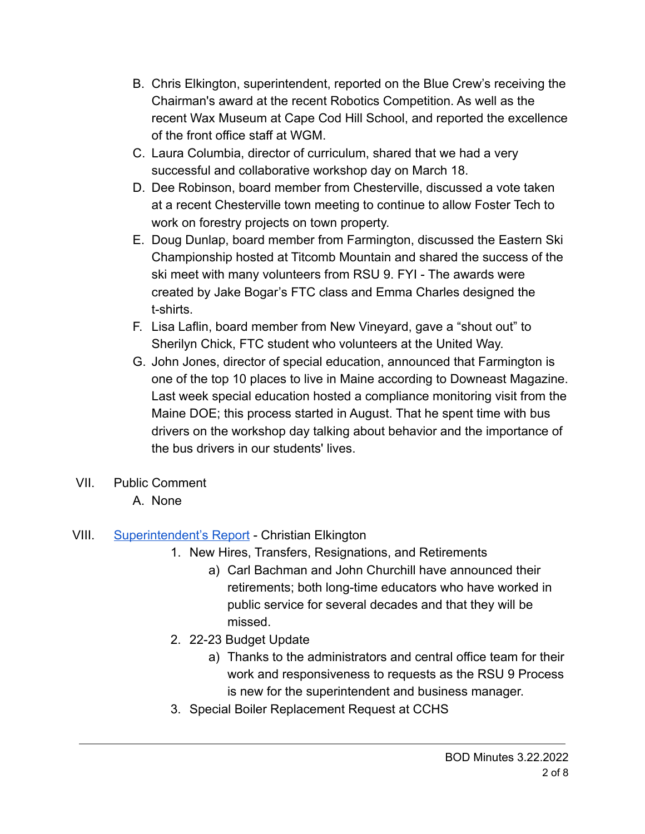- B. Chris Elkington, superintendent, reported on the Blue Crew's receiving the Chairman's award at the recent Robotics Competition. As well as the recent Wax Museum at Cape Cod Hill School, and reported the excellence of the front office staff at WGM.
- C. Laura Columbia, director of curriculum, shared that we had a very successful and collaborative workshop day on March 18.
- D. Dee Robinson, board member from Chesterville, discussed a vote taken at a recent Chesterville town meeting to continue to allow Foster Tech to work on forestry projects on town property.
- E. Doug Dunlap, board member from Farmington, discussed the Eastern Ski Championship hosted at Titcomb Mountain and shared the success of the ski meet with many volunteers from RSU 9. FYI - The awards were created by Jake Bogar's FTC class and Emma Charles designed the t-shirts.
- F. Lisa Laflin, board member from New Vineyard, gave a "shout out" to Sherilyn Chick, FTC student who volunteers at the United Way.
- G. John Jones, director of special education, announced that Farmington is one of the top 10 places to live in Maine according to Downeast Magazine. Last week special education hosted a compliance monitoring visit from the Maine DOE; this process started in August. That he spent time with bus drivers on the workshop day talking about behavior and the importance of the bus drivers in our students' lives.
- VII. Public Comment
	- A. None

# VIII. [Superintendent's Report](https://drive.google.com/file/d/11MLdQsLNTxTQIWryKvCS9xZu1xMjquhW/view?usp=sharingVYzEoA55qJClupQ/edit?usp=sharing) - Christian Elkington

- 1. New Hires, Transfers, Resignations, and Retirements
	- a) Carl Bachman and John Churchill have announced their retirements; both long-time educators who have worked in public service for several decades and that they will be missed.
- 2. 22-23 Budget Update
	- a) Thanks to the administrators and central office team for their work and responsiveness to requests as the RSU 9 Process is new for the superintendent and business manager.
- 3. Special Boiler Replacement Request at CCHS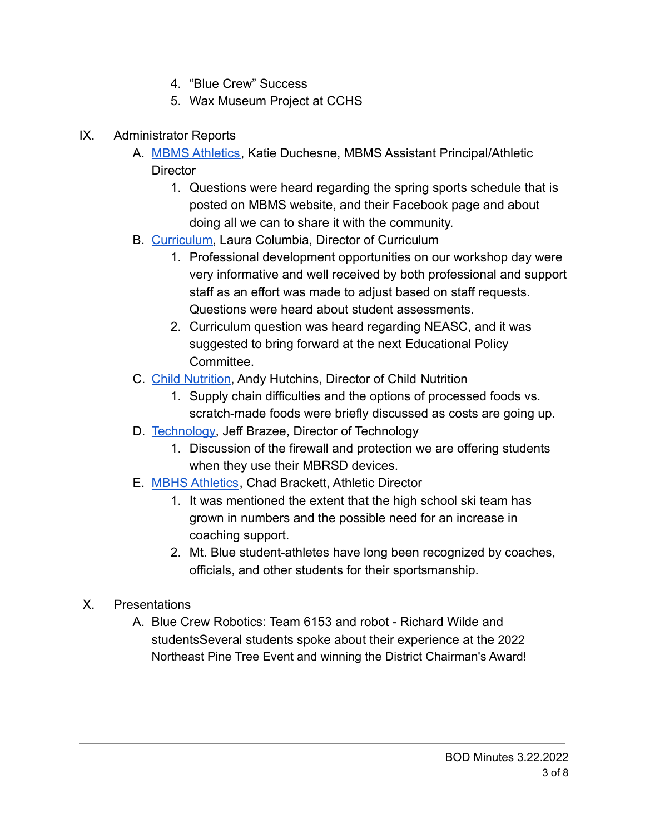- 4. "Blue Crew" Success
- 5. Wax Museum Project at CCHS
- IX. Administrator Reports
	- A. [MBMS Athletics,](https://drive.google.com/file/d/135fmZyyotyAjdu56XjVqGdEzae75bCCL/view?usp=sharing) Katie Duchesne, MBMS Assistant Principal/Athletic **Director** 
		- 1. Questions were heard regarding the spring sports schedule that is posted on MBMS website, and their Facebook page and about doing all we can to share it with the community.
	- B. [Curriculum](https://drive.google.com/file/d/1zR-JaTb1YFLQYAqPQjz0QxvlelCQX5cg/view?usp=sharing), Laura Columbia, Director of Curriculum
		- 1. Professional development opportunities on our workshop day were very informative and well received by both professional and support staff as an effort was made to adjust based on staff requests. Questions were heard about student assessments.
		- 2. Curriculum question was heard regarding NEASC, and it was suggested to bring forward at the next Educational Policy **Committee.**
	- C. [Child Nutrition](https://drive.google.com/file/d/12FsjAEsrDD3FESgSoHhTJ59a9NUGQDEF/view?usp=sharing), Andy Hutchins, Director of Child Nutrition
		- 1. Supply chain difficulties and the options of processed foods vs. scratch-made foods were briefly discussed as costs are going up.
	- D. [Technology,](https://drive.google.com/file/d/1dTzLkIERgIeKxTYCOU5ACU58GcuH8ja1/view?usp=sharing) Jeff Brazee, Director of Technology
		- 1. Discussion of the firewall and protection we are offering students when they use their MBRSD devices.
	- E. [MBHS Athletics](https://drive.google.com/file/d/104g-W9o2m2Pa4ESE3wxJFgLQDBLFqpws/view?usp=sharing), Chad Brackett, Athletic Director
		- 1. It was mentioned the extent that the high school ski team has grown in numbers and the possible need for an increase in coaching support.
		- 2. Mt. Blue student-athletes have long been recognized by coaches, officials, and other students for their sportsmanship.
- X. Presentations
	- A. Blue Crew Robotics: Team 6153 and robot Richard Wilde and studentsSeveral students spoke about their experience at the 2022 Northeast Pine Tree Event and winning the District Chairman's Award!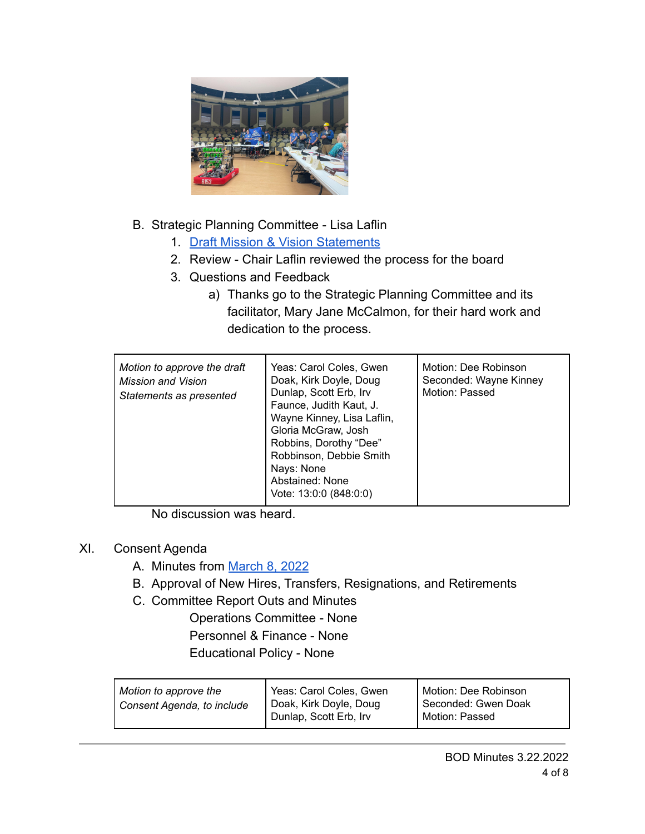

- B. Strategic Planning Committee Lisa Laflin
	- 1. [Draft Mission & Vision Statements](https://drive.google.com/file/d/14LP6bhbowCqLqvn4HO6cILiudkxjc1N8/view?usp=sharing)
	- 2. Review Chair Laflin reviewed the process for the board
	- 3. Questions and Feedback
		- a) Thanks go to the Strategic Planning Committee and its facilitator, Mary Jane McCalmon, for their hard work and dedication to the process.

| Motion to approve the draft<br>Mission and Vision<br>Statements as presented | Yeas: Carol Coles, Gwen<br>Doak, Kirk Doyle, Doug<br>Dunlap, Scott Erb, Irv<br>Faunce, Judith Kaut, J.<br>Wayne Kinney, Lisa Laflin,<br>Gloria McGraw, Josh<br>Robbins, Dorothy "Dee"<br>Robbinson, Debbie Smith<br>Nays: None<br>Abstained: None<br>Vote: 13:0:0 (848:0:0) | Motion: Dee Robinson<br>Seconded: Wayne Kinney<br>Motion: Passed |
|------------------------------------------------------------------------------|-----------------------------------------------------------------------------------------------------------------------------------------------------------------------------------------------------------------------------------------------------------------------------|------------------------------------------------------------------|
|------------------------------------------------------------------------------|-----------------------------------------------------------------------------------------------------------------------------------------------------------------------------------------------------------------------------------------------------------------------------|------------------------------------------------------------------|

No discussion was heard.

#### XI. Consent Agenda

- A. Minutes from [March 8, 2022](https://drive.google.com/file/d/1d5yr2HEBU8C3_ajoUiEqJ4-KaeUe_xYV/view?usp=sharing)
- B. Approval of New Hires, Transfers, Resignations, and Retirements
- C. Committee Report Outs and Minutes

Operations Committee - None Personnel & Finance - None Educational Policy - None

| Motion to approve the<br>Consent Agenda, to include | Yeas: Carol Coles, Gwen<br>Doak, Kirk Doyle, Doug<br>Dunlap, Scott Erb, Irv | Motion: Dee Robinson<br>Seconded: Gwen Doak<br>Motion: Passed |
|-----------------------------------------------------|-----------------------------------------------------------------------------|---------------------------------------------------------------|
|                                                     |                                                                             |                                                               |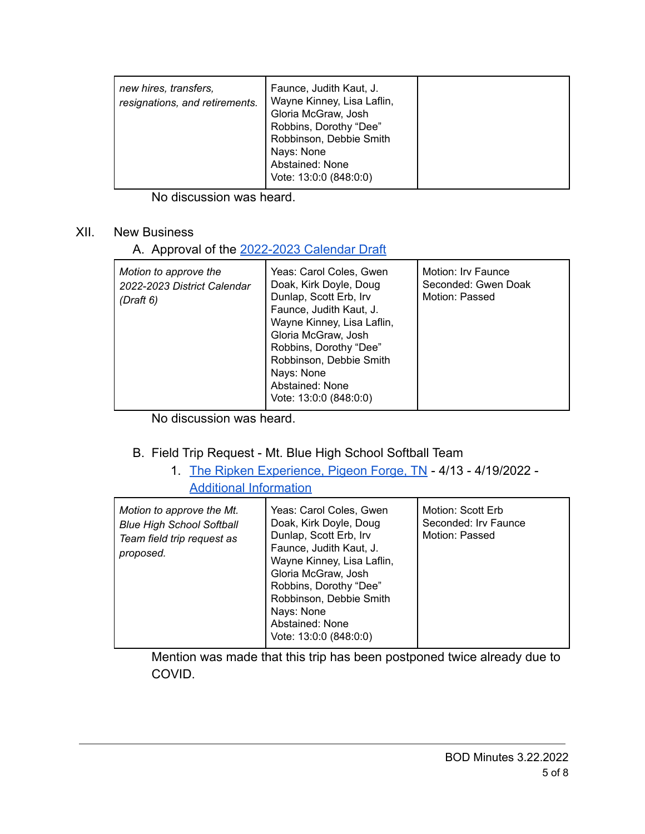| new hires, transfers,<br>Faunce, Judith Kaut, J.<br>Wayne Kinney, Lisa Laflin,<br>resignations, and retirements.<br>Gloria McGraw, Josh<br>Robbins, Dorothy "Dee"<br>Robbinson, Debbie Smith<br>Nays: None<br>Abstained: None<br>Vote: 13:0:0 (848:0:0) |  |
|---------------------------------------------------------------------------------------------------------------------------------------------------------------------------------------------------------------------------------------------------------|--|
|---------------------------------------------------------------------------------------------------------------------------------------------------------------------------------------------------------------------------------------------------------|--|

No discussion was heard.

#### XII. New Business

## A. Approval of the [2022-2023 Calendar Draft](https://drive.google.com/file/d/1w0ROCyhy2nDwaPZqj-tdcCZ7l388cxvU/view?usp=sharing)

| Motion to approve the<br>2022-2023 District Calendar<br>(Draft 6) | Yeas: Carol Coles, Gwen<br>Doak, Kirk Doyle, Doug<br>Dunlap, Scott Erb, Irv<br>Faunce, Judith Kaut, J.<br>Wayne Kinney, Lisa Laflin,<br>Gloria McGraw, Josh<br>Robbins, Dorothy "Dee"<br>Robbinson, Debbie Smith<br>Nays: None<br>Abstained: None<br>Vote: 13:0:0 (848:0:0) | Motion: Irv Faunce<br>Seconded: Gwen Doak<br>Motion: Passed |
|-------------------------------------------------------------------|-----------------------------------------------------------------------------------------------------------------------------------------------------------------------------------------------------------------------------------------------------------------------------|-------------------------------------------------------------|
|-------------------------------------------------------------------|-----------------------------------------------------------------------------------------------------------------------------------------------------------------------------------------------------------------------------------------------------------------------------|-------------------------------------------------------------|

No discussion was heard.

## B. Field Trip Request - Mt. Blue High School Softball Team

1. [The Ripken Experience, Pigeon Forge, TN](https://drive.google.com/file/d/1PbFJfk5dAVcLlkbiglcX6TFWCdn5Y3yf/view?usp=sharing) - 4/13 - 4/19/2022 - [Additional Information](https://drive.google.com/file/d/120CoA1qpiIjGWoPB72yi2hakZmtlF6oA/view?usp=sharing)

| Motion to approve the Mt.<br><b>Blue High School Softball</b><br>Team field trip request as<br>proposed. | Yeas: Carol Coles, Gwen<br>Doak, Kirk Doyle, Doug<br>Dunlap, Scott Erb, Irv<br>Faunce, Judith Kaut, J.<br>Wayne Kinney, Lisa Laflin,<br>Gloria McGraw, Josh<br>Robbins, Dorothy "Dee"<br>Robbinson, Debbie Smith<br>Nays: None<br>Abstained: None<br>Vote: 13:0:0 (848:0:0) | Motion: Scott Erb<br>Seconded: Irv Faunce<br>Motion: Passed |
|----------------------------------------------------------------------------------------------------------|-----------------------------------------------------------------------------------------------------------------------------------------------------------------------------------------------------------------------------------------------------------------------------|-------------------------------------------------------------|
|----------------------------------------------------------------------------------------------------------|-----------------------------------------------------------------------------------------------------------------------------------------------------------------------------------------------------------------------------------------------------------------------------|-------------------------------------------------------------|

Mention was made that this trip has been postponed twice already due to COVID.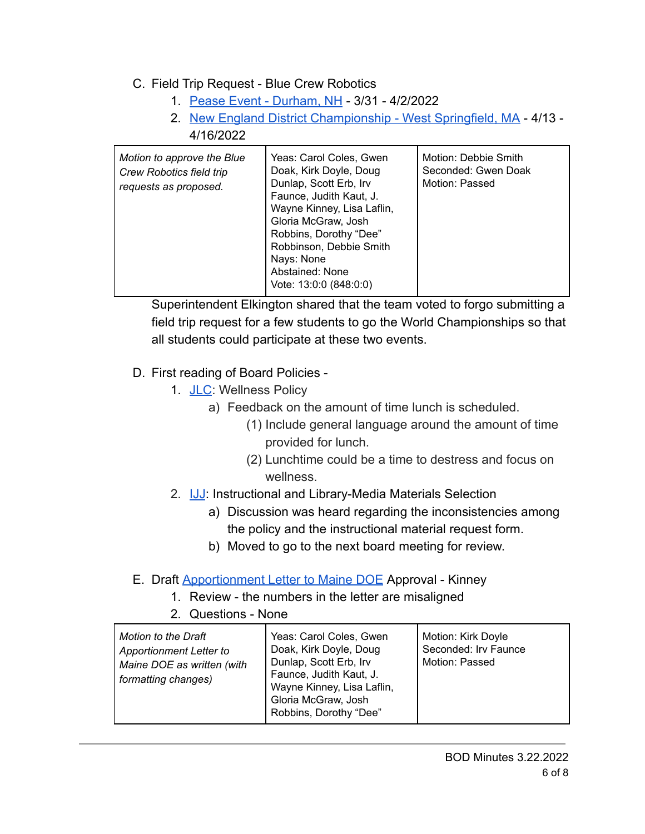## C. Field Trip Request - Blue Crew Robotics

- 1. [Pease Event Durham, NH](https://drive.google.com/file/d/12E6TmYiA8CEt3iR2zrys2Y3BtES9W1I6/view?usp=sharing) 3/31 4/2/2022
- 2. [New England District Championship West Springfield, MA](https://drive.google.com/file/d/1NSqxjKdAX7kArxxjru5EoFoNIiVXesm0/view?usp=sharing) 4/13 4/16/2022

| Motion to approve the Blue<br><b>Crew Robotics field trip</b><br>requests as proposed. | Yeas: Carol Coles, Gwen<br>Doak, Kirk Doyle, Doug<br>Dunlap, Scott Erb, Irv<br>Faunce, Judith Kaut, J.<br>Wayne Kinney, Lisa Laflin,<br>Gloria McGraw, Josh<br>Robbins, Dorothy "Dee"<br>Robbinson, Debbie Smith<br>Nays: None<br>Abstained: None<br>Vote: 13:0:0 (848:0:0) | Motion: Debbie Smith<br>Seconded: Gwen Doak<br>Motion: Passed |
|----------------------------------------------------------------------------------------|-----------------------------------------------------------------------------------------------------------------------------------------------------------------------------------------------------------------------------------------------------------------------------|---------------------------------------------------------------|
|----------------------------------------------------------------------------------------|-----------------------------------------------------------------------------------------------------------------------------------------------------------------------------------------------------------------------------------------------------------------------------|---------------------------------------------------------------|

Superintendent Elkington shared that the team voted to forgo submitting a field trip request for a few students to go the World Championships so that all students could participate at these two events.

## D. First reading of Board Policies -

- 1. [JLC](https://drive.google.com/file/d/1fEuDjy2fdli47C30P5GOP4f_8Tjk7joS/view?usp=sharing): Wellness Policy
	- a) Feedback on the amount of time lunch is scheduled.
		- (1) Include general language around the amount of time provided for lunch.
		- (2) Lunchtime could be a time to destress and focus on wellness.
- 2. **[IJJ](https://drive.google.com/file/d/1YBzeTcEg61Nirl87YNMtjR1BjQKRODi3/view?usp=sharing):** Instructional and Library-Media Materials Selection
	- a) Discussion was heard regarding the inconsistencies among the policy and the instructional material request form.
	- b) Moved to go to the next board meeting for review.
- E. Draft [Apportionment Letter to Maine DOE](https://drive.google.com/file/d/1HqMC8yxzqv-JEr_xNIWMyNTbXg0XtVkN/view?usp=sharing) Approval Kinney
	- 1. Review the numbers in the letter are misaligned
	- 2. Questions None

| Motion to the Draft<br><b>Apportionment Letter to</b><br>Maine DOE as written (with<br>formatting changes) | Yeas: Carol Coles, Gwen<br>Doak, Kirk Doyle, Doug<br>Dunlap, Scott Erb, Irv<br>Faunce, Judith Kaut, J.<br>Wayne Kinney, Lisa Laflin,<br>Gloria McGraw, Josh<br>Robbins, Dorothy "Dee" | Motion: Kirk Doyle<br>Seconded: Irv Faunce<br>Motion: Passed |
|------------------------------------------------------------------------------------------------------------|---------------------------------------------------------------------------------------------------------------------------------------------------------------------------------------|--------------------------------------------------------------|
|------------------------------------------------------------------------------------------------------------|---------------------------------------------------------------------------------------------------------------------------------------------------------------------------------------|--------------------------------------------------------------|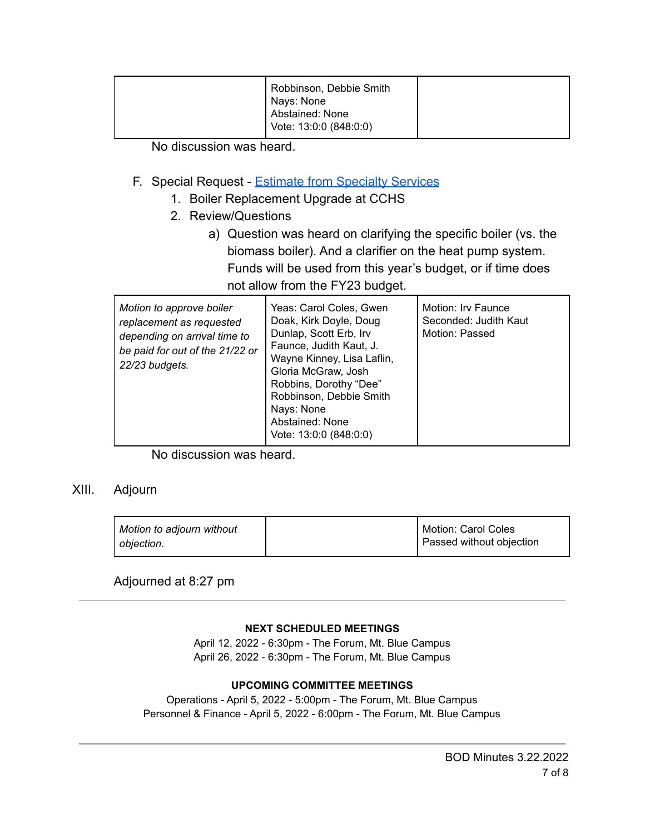No discussion was heard.

- F. Special Request [Estimate from Specialty Services](https://drive.google.com/file/d/1Jl-ktuxUDyasL8-ABtQM3EoOSUjXKA0Q/view)
	- 1. Boiler Replacement Upgrade at CCHS
	- 2. Review/Questions
		- a) Question was heard on clarifying the specific boiler (vs. the biomass boiler). And a clarifier on the heat pump system. Funds will be used from this year's budget, or if time does not allow from the FY23 budget.

| Motion to approve boiler<br>replacement as requested<br>depending on arrival time to<br>be paid for out of the 21/22 or<br>22/23 budgets. | Yeas: Carol Coles, Gwen<br>Doak, Kirk Doyle, Doug<br>Dunlap, Scott Erb, Irv<br>Faunce, Judith Kaut, J.<br>Wayne Kinney, Lisa Laflin,<br>Gloria McGraw, Josh<br>Robbins, Dorothy "Dee"<br>Robbinson, Debbie Smith<br>Nays: None<br>Abstained: None<br>Vote: 13:0:0 (848:0:0) | Motion: Irv Faunce<br>Seconded: Judith Kaut<br>Motion: Passed |
|-------------------------------------------------------------------------------------------------------------------------------------------|-----------------------------------------------------------------------------------------------------------------------------------------------------------------------------------------------------------------------------------------------------------------------------|---------------------------------------------------------------|
|-------------------------------------------------------------------------------------------------------------------------------------------|-----------------------------------------------------------------------------------------------------------------------------------------------------------------------------------------------------------------------------------------------------------------------------|---------------------------------------------------------------|

No discussion was heard.

## XIII. Adjourn

| Motion to adjourn without | Motion: Carol Coles      |
|---------------------------|--------------------------|
| objection.                | Passed without objection |

Adjourned at 8:27 pm

#### **NEXT SCHEDULED MEETINGS**

April 12, 2022 - 6:30pm - The Forum, Mt. Blue Campus April 26, 2022 - 6:30pm - The Forum, Mt. Blue Campus

#### **UPCOMING COMMITTEE MEETINGS**

Operations - April 5, 2022 - 5:00pm - The Forum, Mt. Blue Campus Personnel & Finance - April 5, 2022 - 6:00pm - The Forum, Mt. Blue Campus